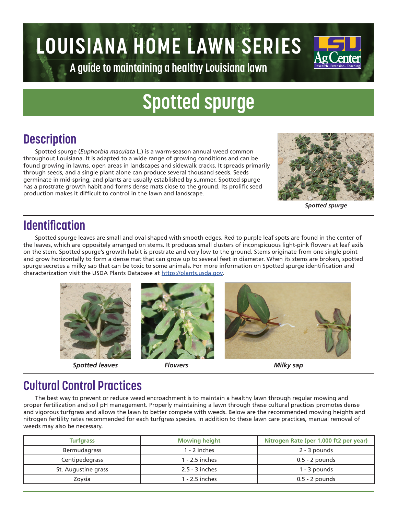# **LOUISIANA HOME LAWN SERIES**



**A guide to maintaining a healthy Louisiana lawn**

# **Spotted spurge**

## **Description**

Spotted spurge (*Euphorbia maculata* L.) is a warm-season annual weed common throughout Louisiana. It is adapted to a wide range of growing conditions and can be found growing in lawns, open areas in landscapes and sidewalk cracks. It spreads primarily through seeds, and a single plant alone can produce several thousand seeds. Seeds germinate in mid-spring, and plants are usually established by summer. Spotted spurge has a prostrate growth habit and forms dense mats close to the ground. Its prolific seed production makes it difficult to control in the lawn and landscape.



*Spotted spurge*

### **Identification**

Spotted spurge leaves are small and oval-shaped with smooth edges. Red to purple leaf spots are found in the center of the leaves, which are oppositely arranged on stems. It produces small clusters of inconspicuous light-pink flowers at leaf axils on the stem. Spotted spurge's growth habit is prostrate and very low to the ground. Stems originate from one single point and grow horizontally to form a dense mat that can grow up to several feet in diameter. When its stems are broken, spotted spurge secretes a milky sap that can be toxic to some animals. For more information on Spotted spurge identification and characterization visit the USDA Plants Database at https://plants.usda.gov.



*Spotted leaves Flowers Milky sap*





#### **Cultural Control Practices**

The best way to prevent or reduce weed encroachment is to maintain a healthy lawn through regular mowing and proper fertilization and soil pH management. Properly maintaining a lawn through these cultural practices promotes dense and vigorous turfgrass and allows the lawn to better compete with weeds. Below are the recommended mowing heights and nitrogen fertility rates recommended for each turfgrass species. In addition to these lawn care practices, manual removal of weeds may also be necessary.

| <b>Turfgrass</b>    | <b>Mowing height</b> | Nitrogen Rate (per 1,000 ft2 per year) |  |
|---------------------|----------------------|----------------------------------------|--|
| Bermudagrass        | $1 - 2$ inches       | 2 - 3 pounds                           |  |
| Centipedegrass      | 1 - 2.5 inches       | $0.5 - 2$ pounds                       |  |
| St. Augustine grass | $2.5 - 3$ inches     | 1 - 3 pounds                           |  |
| Zoysia              | 1 - 2.5 inches       | $0.5 - 2$ pounds                       |  |